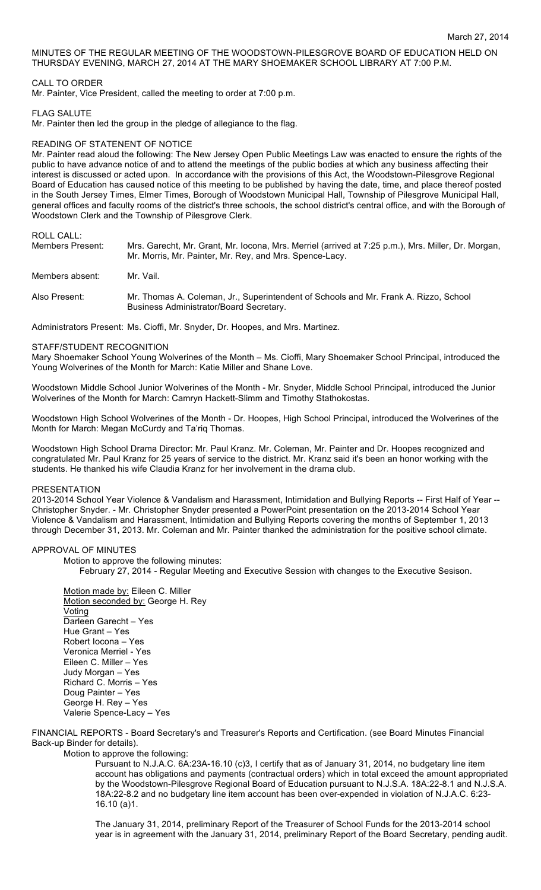## MINUTES OF THE REGULAR MEETING OF THE WOODSTOWN-PILESGROVE BOARD OF EDUCATION HELD ON THURSDAY EVENING, MARCH 27, 2014 AT THE MARY SHOEMAKER SCHOOL LIBRARY AT 7:00 P.M.

# CALL TO ORDER

Mr. Painter, Vice President, called the meeting to order at 7:00 p.m.

## FLAG SALUTE

Mr. Painter then led the group in the pledge of allegiance to the flag.

## READING OF STATENENT OF NOTICE

Mr. Painter read aloud the following: The New Jersey Open Public Meetings Law was enacted to ensure the rights of the public to have advance notice of and to attend the meetings of the public bodies at which any business affecting their interest is discussed or acted upon. In accordance with the provisions of this Act, the Woodstown-Pilesgrove Regional Board of Education has caused notice of this meeting to be published by having the date, time, and place thereof posted in the South Jersey Times, Elmer Times, Borough of Woodstown Municipal Hall, Township of Pilesgrove Municipal Hall, general offices and faculty rooms of the district's three schools, the school district's central office, and with the Borough of Woodstown Clerk and the Township of Pilesgrove Clerk.

# ROLL CALL:

| Members Present: | Mrs. Garecht, Mr. Grant, Mr. Iocona, Mrs. Merriel (arrived at 7:25 p.m.), Mrs. Miller, Dr. Morgan,<br>Mr. Morris, Mr. Painter, Mr. Rey, and Mrs. Spence-Lacy. |
|------------------|---------------------------------------------------------------------------------------------------------------------------------------------------------------|
| Members absent:  | Mr. Vail.                                                                                                                                                     |
| Also Present:    | Mr. Thomas A. Coleman, Jr., Superintendent of Schools and Mr. Frank A. Rizzo, School<br>Business Administrator/Board Secretary.                               |

Administrators Present: Ms. Cioffi, Mr. Snyder, Dr. Hoopes, and Mrs. Martinez.

## STAFF/STUDENT RECOGNITION

Mary Shoemaker School Young Wolverines of the Month – Ms. Cioffi, Mary Shoemaker School Principal, introduced the Young Wolverines of the Month for March: Katie Miller and Shane Love.

Woodstown Middle School Junior Wolverines of the Month - Mr. Snyder, Middle School Principal, introduced the Junior Wolverines of the Month for March: Camryn Hackett-Slimm and Timothy Stathokostas.

Woodstown High School Wolverines of the Month - Dr. Hoopes, High School Principal, introduced the Wolverines of the Month for March: Megan McCurdy and Ta'riq Thomas.

Woodstown High School Drama Director: Mr. Paul Kranz. Mr. Coleman, Mr. Painter and Dr. Hoopes recognized and congratulated Mr. Paul Kranz for 25 years of service to the district. Mr. Kranz said it's been an honor working with the students. He thanked his wife Claudia Kranz for her involvement in the drama club.

#### PRESENTATION

2013-2014 School Year Violence & Vandalism and Harassment, Intimidation and Bullying Reports -- First Half of Year -- Christopher Snyder. - Mr. Christopher Snyder presented a PowerPoint presentation on the 2013-2014 School Year Violence & Vandalism and Harassment, Intimidation and Bullying Reports covering the months of September 1, 2013 through December 31, 2013. Mr. Coleman and Mr. Painter thanked the administration for the positive school climate.

### APPROVAL OF MINUTES

Motion to approve the following minutes:

February 27, 2014 - Regular Meeting and Executive Session with changes to the Executive Sesison.

Motion made by: Eileen C. Miller Motion seconded by: George H. Rey Voting Darleen Garecht – Yes Hue Grant – Yes Robert Iocona – Yes Veronica Merriel - Yes Eileen C. Miller – Yes Judy Morgan – Yes Richard C. Morris – Yes Doug Painter – Yes George H. Rey – Yes Valerie Spence-Lacy – Yes

FINANCIAL REPORTS - Board Secretary's and Treasurer's Reports and Certification. (see Board Minutes Financial Back-up Binder for details).

Motion to approve the following:

Pursuant to N.J.A.C. 6A:23A-16.10 (c)3, I certify that as of January 31, 2014, no budgetary line item account has obligations and payments (contractual orders) which in total exceed the amount appropriated by the Woodstown-Pilesgrove Regional Board of Education pursuant to N.J.S.A. 18A:22-8.1 and N.J.S.A. 18A:22-8.2 and no budgetary line item account has been over-expended in violation of N.J.A.C. 6:23- 16.10 (a)1.

The January 31, 2014, preliminary Report of the Treasurer of School Funds for the 2013-2014 school year is in agreement with the January 31, 2014, preliminary Report of the Board Secretary, pending audit.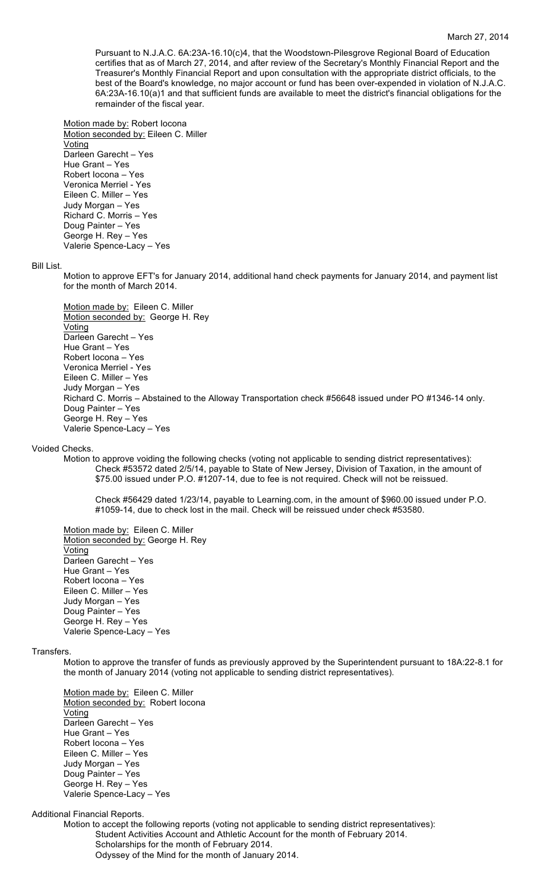#### March 27, 2014

Pursuant to N.J.A.C. 6A:23A-16.10(c)4, that the Woodstown-Pilesgrove Regional Board of Education certifies that as of March 27, 2014, and after review of the Secretary's Monthly Financial Report and the Treasurer's Monthly Financial Report and upon consultation with the appropriate district officials, to the best of the Board's knowledge, no major account or fund has been over-expended in violation of N.J.A.C. 6A:23A-16.10(a)1 and that sufficient funds are available to meet the district's financial obligations for the remainder of the fiscal year.

Motion made by: Robert Iocona Motion seconded by: Eileen C. Miller **Voting** Darleen Garecht – Yes Hue Grant – Yes Robert Iocona – Yes Veronica Merriel - Yes Eileen C. Miller – Yes Judy Morgan – Yes Richard C. Morris – Yes Doug Painter – Yes George H. Rey – Yes Valerie Spence-Lacy – Yes

#### Bill List.

Motion to approve EFT's for January 2014, additional hand check payments for January 2014, and payment list for the month of March 2014.

Motion made by: Eileen C. Miller Motion seconded by: George H. Rey Voting Darleen Garecht – Yes Hue Grant – Yes Robert Iocona – Yes Veronica Merriel - Yes Eileen C. Miller – Yes Judy Morgan – Yes Richard C. Morris – Abstained to the Alloway Transportation check #56648 issued under PO #1346-14 only. Doug Painter – Yes George H. Rey – Yes Valerie Spence-Lacy – Yes

#### Voided Checks.

Motion to approve voiding the following checks (voting not applicable to sending district representatives): Check #53572 dated 2/5/14, payable to State of New Jersey, Division of Taxation, in the amount of \$75.00 issued under P.O. #1207-14, due to fee is not required. Check will not be reissued.

Check #56429 dated 1/23/14, payable to Learning.com, in the amount of \$960.00 issued under P.O. #1059-14, due to check lost in the mail. Check will be reissued under check #53580.

Motion made by: Eileen C. Miller Motion seconded by: George H. Rey **Voting** Darleen Garecht – Yes Hue Grant – Yes Robert Iocona – Yes Eileen C. Miller – Yes Judy Morgan – Yes Doug Painter – Yes George H. Rey – Yes Valerie Spence-Lacy – Yes

# Transfers.

Motion to approve the transfer of funds as previously approved by the Superintendent pursuant to 18A:22-8.1 for the month of January 2014 (voting not applicable to sending district representatives).

Motion made by: Eileen C. Miller Motion seconded by: Robert locona Voting Darleen Garecht – Yes Hue Grant – Yes Robert Iocona – Yes Eileen C. Miller – Yes Judy Morgan – Yes Doug Painter – Yes George H. Rey – Yes Valerie Spence-Lacy – Yes

## Additional Financial Reports.

Motion to accept the following reports (voting not applicable to sending district representatives): Student Activities Account and Athletic Account for the month of February 2014. Scholarships for the month of February 2014. Odyssey of the Mind for the month of January 2014.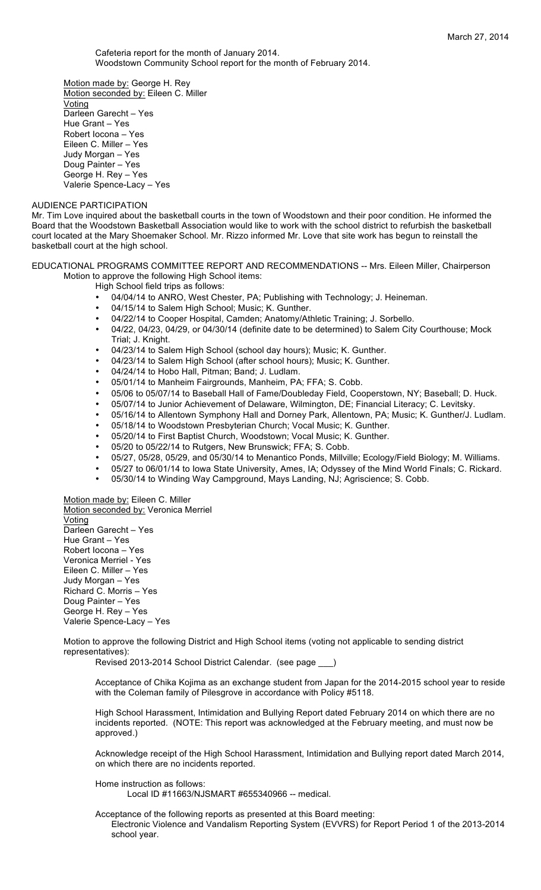Cafeteria report for the month of January 2014. Woodstown Community School report for the month of February 2014.

Motion made by: George H. Rey Motion seconded by: Eileen C. Miller Voting Darleen Garecht – Yes Hue Grant – Yes Robert Iocona – Yes Eileen C. Miller – Yes Judy Morgan – Yes Doug Painter – Yes George H. Rey – Yes Valerie Spence-Lacy – Yes

## AUDIENCE PARTICIPATION

Mr. Tim Love inquired about the basketball courts in the town of Woodstown and their poor condition. He informed the Board that the Woodstown Basketball Association would like to work with the school district to refurbish the basketball court located at the Mary Shoemaker School. Mr. Rizzo informed Mr. Love that site work has begun to reinstall the basketball court at the high school.

# EDUCATIONAL PROGRAMS COMMITTEE REPORT AND RECOMMENDATIONS -- Mrs. Eileen Miller, Chairperson Motion to approve the following High School items:

High School field trips as follows:

- 04/04/14 to ANRO, West Chester, PA; Publishing with Technology; J. Heineman.
- 04/15/14 to Salem High School; Music; K. Gunther.
- 04/22/14 to Cooper Hospital, Camden; Anatomy/Athletic Training; J. Sorbello.
- 04/22, 04/23, 04/29, or 04/30/14 (definite date to be determined) to Salem City Courthouse; Mock Trial; J. Knight.
- 04/23/14 to Salem High School (school day hours); Music; K. Gunther.
- 04/23/14 to Salem High School (after school hours); Music; K. Gunther.
- 04/24/14 to Hobo Hall, Pitman; Band; J. Ludlam.
- 05/01/14 to Manheim Fairgrounds, Manheim, PA; FFA; S. Cobb.
- 05/06 to 05/07/14 to Baseball Hall of Fame/Doubleday Field, Cooperstown, NY; Baseball; D. Huck.
- 05/07/14 to Junior Achievement of Delaware, Wilmington, DE; Financial Literacy; C. Levitsky.
- 05/16/14 to Allentown Symphony Hall and Dorney Park, Allentown, PA; Music; K. Gunther/J. Ludlam.
- 05/18/14 to Woodstown Presbyterian Church; Vocal Music; K. Gunther.<br>• 05/20/14 to First Bantist Church, Woodstown; Vocal Music; K. Gunther.
- 05/20/14 to First Baptist Church, Woodstown; Vocal Music; K. Gunther.
- 05/20 to 05/22/14 to Rutgers, New Brunswick; FFA; S. Cobb.
- 05/27, 05/28, 05/29, and 05/30/14 to Menantico Ponds, Millville; Ecology/Field Biology; M. Williams.
- 05/27 to 06/01/14 to Iowa State University, Ames, IA; Odyssey of the Mind World Finals; C. Rickard.
- 05/30/14 to Winding Way Campground, Mays Landing, NJ; Agriscience; S. Cobb.

Motion made by: Eileen C. Miller Motion seconded by: Veronica Merriel Voting Darleen Garecht – Yes Hue Grant – Yes Robert Iocona – Yes Veronica Merriel - Yes Eileen C. Miller – Yes Judy Morgan – Yes Richard C. Morris – Yes Doug Painter – Yes George H. Rey – Yes Valerie Spence-Lacy – Yes

Motion to approve the following District and High School items (voting not applicable to sending district representatives):

Revised 2013-2014 School District Calendar. (see page \_\_\_)

Acceptance of Chika Kojima as an exchange student from Japan for the 2014-2015 school year to reside with the Coleman family of Pilesgrove in accordance with Policy #5118.

High School Harassment, Intimidation and Bullying Report dated February 2014 on which there are no incidents reported. (NOTE: This report was acknowledged at the February meeting, and must now be approved.)

Acknowledge receipt of the High School Harassment, Intimidation and Bullying report dated March 2014, on which there are no incidents reported.

Home instruction as follows: Local ID #11663/NJSMART #655340966 -- medical.

Acceptance of the following reports as presented at this Board meeting: Electronic Violence and Vandalism Reporting System (EVVRS) for Report Period 1 of the 2013-2014 school year.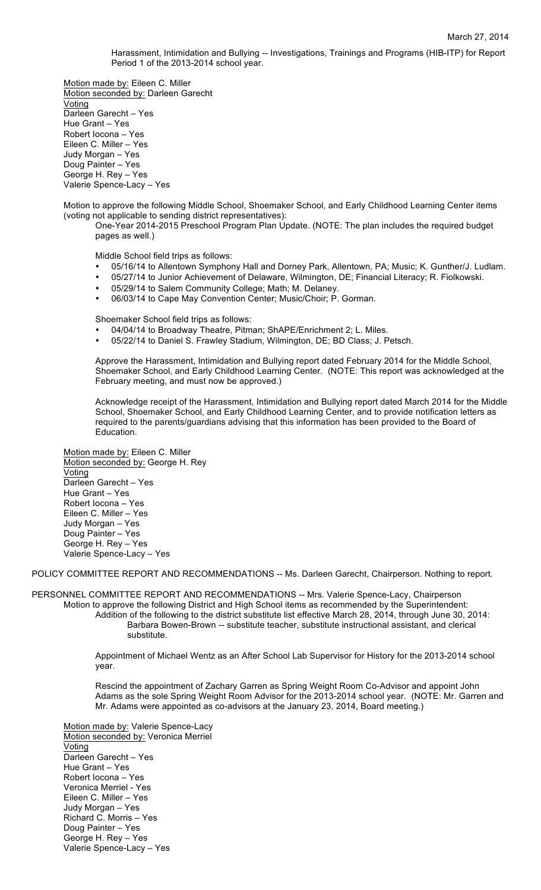Harassment, Intimidation and Bullying -- Investigations, Trainings and Programs (HIB-ITP) for Report Period 1 of the 2013-2014 school year.

Motion made by: Eileen C. Miller Motion seconded by: Darleen Garecht Voting Darleen Garecht – Yes Hue Grant – Yes Robert Iocona – Yes Eileen C. Miller – Yes Judy Morgan – Yes Doug Painter – Yes George H. Rey – Yes Valerie Spence-Lacy – Yes

Motion to approve the following Middle School, Shoemaker School, and Early Childhood Learning Center items (voting not applicable to sending district representatives):

One-Year 2014-2015 Preschool Program Plan Update. (NOTE: The plan includes the required budget pages as well.)

Middle School field trips as follows:

- 05/16/14 to Allentown Symphony Hall and Dorney Park, Allentown, PA; Music; K. Gunther/J. Ludlam.
- 05/27/14 to Junior Achievement of Delaware, Wilmington, DE; Financial Literacy; R. Fiolkowski.
- 05/29/14 to Salem Community College; Math; M. Delaney.
- 06/03/14 to Cape May Convention Center; Music/Choir; P. Gorman.

Shoemaker School field trips as follows:

- 04/04/14 to Broadway Theatre, Pitman; ShAPE/Enrichment 2; L. Miles.
- 05/22/14 to Daniel S. Frawley Stadium, Wilmington, DE; BD Class; J. Petsch.

Approve the Harassment, Intimidation and Bullying report dated February 2014 for the Middle School, Shoemaker School, and Early Childhood Learning Center. (NOTE: This report was acknowledged at the February meeting, and must now be approved.)

Acknowledge receipt of the Harassment, Intimidation and Bullying report dated March 2014 for the Middle School, Shoemaker School, and Early Childhood Learning Center, and to provide notification letters as required to the parents/guardians advising that this information has been provided to the Board of Education.

Motion made by: Eileen C. Miller Motion seconded by: George H. Rey Voting Darleen Garecht – Yes Hue Grant – Yes Robert Iocona – Yes Eileen C. Miller – Yes Judy Morgan – Yes Doug Painter – Yes George H. Rey – Yes Valerie Spence-Lacy – Yes

POLICY COMMITTEE REPORT AND RECOMMENDATIONS -- Ms. Darleen Garecht, Chairperson. Nothing to report.

PERSONNEL COMMITTEE REPORT AND RECOMMENDATIONS -- Mrs. Valerie Spence-Lacy, Chairperson Motion to approve the following District and High School items as recommended by the Superintendent: Addition of the following to the district substitute list effective March 28, 2014, through June 30, 2014: Barbara Bowen-Brown -- substitute teacher, substitute instructional assistant, and clerical substitute.

> Appointment of Michael Wentz as an After School Lab Supervisor for History for the 2013-2014 school year.

Rescind the appointment of Zachary Garren as Spring Weight Room Co-Advisor and appoint John Adams as the sole Spring Weight Room Advisor for the 2013-2014 school year. (NOTE: Mr. Garren and Mr. Adams were appointed as co-advisors at the January 23, 2014, Board meeting.)

Motion made by: Valerie Spence-Lacy Motion seconded by: Veronica Merriel Voting Darleen Garecht – Yes Hue Grant – Yes Robert Iocona – Yes Veronica Merriel - Yes Eileen C. Miller – Yes Judy Morgan – Yes Richard C. Morris – Yes Doug Painter – Yes George H. Rey – Yes Valerie Spence-Lacy – Yes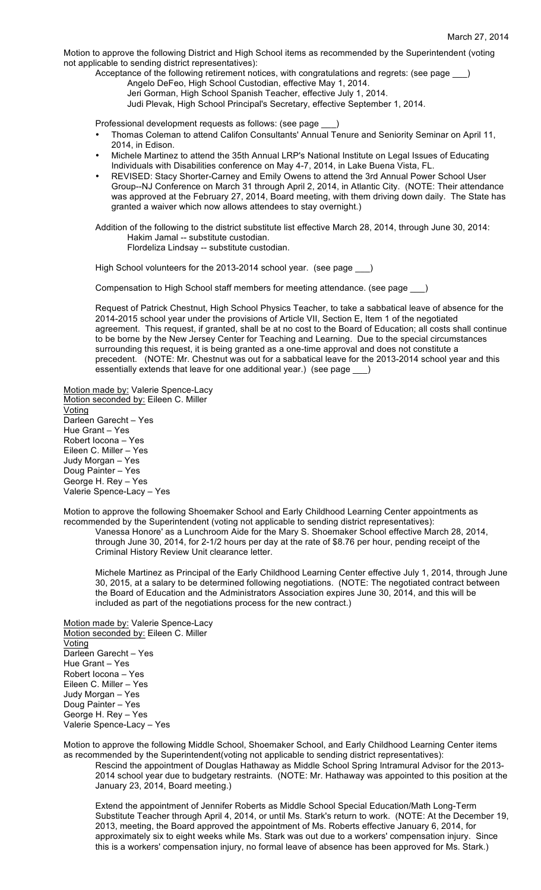Motion to approve the following District and High School items as recommended by the Superintendent (voting not applicable to sending district representatives):

Acceptance of the following retirement notices, with congratulations and regrets: (see page \_\_\_)

Angelo DeFeo, High School Custodian, effective May 1, 2014.

Jeri Gorman, High School Spanish Teacher, effective July 1, 2014. Judi Plevak, High School Principal's Secretary, effective September 1, 2014.

Professional development requests as follows: (see page

- Thomas Coleman to attend Califon Consultants' Annual Tenure and Seniority Seminar on April 11, 2014, in Edison.
- Michele Martinez to attend the 35th Annual LRP's National Institute on Legal Issues of Educating Individuals with Disabilities conference on May 4-7, 2014, in Lake Buena Vista, FL.
- REVISED: Stacy Shorter-Carney and Emily Owens to attend the 3rd Annual Power School User Group--NJ Conference on March 31 through April 2, 2014, in Atlantic City. (NOTE: Their attendance was approved at the February 27, 2014, Board meeting, with them driving down daily. The State has granted a waiver which now allows attendees to stay overnight.)

Addition of the following to the district substitute list effective March 28, 2014, through June 30, 2014: Hakim Jamal -- substitute custodian. Flordeliza Lindsay -- substitute custodian.

High School volunteers for the 2013-2014 school year. (see page \_\_)

Compensation to High School staff members for meeting attendance. (see page \_\_\_)

Request of Patrick Chestnut, High School Physics Teacher, to take a sabbatical leave of absence for the 2014-2015 school year under the provisions of Article VII, Section E, Item 1 of the negotiated agreement. This request, if granted, shall be at no cost to the Board of Education; all costs shall continue to be borne by the New Jersey Center for Teaching and Learning. Due to the special circumstances surrounding this request, it is being granted as a one-time approval and does not constitute a precedent. (NOTE: Mr. Chestnut was out for a sabbatical leave for the 2013-2014 school year and this essentially extends that leave for one additional year.) (see page \_\_\_)

Motion made by: Valerie Spence-Lacy Motion seconded by: Eileen C. Miller **Voting** Darleen Garecht – Yes Hue Grant – Yes Robert Iocona – Yes Eileen C. Miller – Yes Judy Morgan – Yes Doug Painter – Yes George H. Rey – Yes Valerie Spence-Lacy – Yes

Motion to approve the following Shoemaker School and Early Childhood Learning Center appointments as recommended by the Superintendent (voting not applicable to sending district representatives):

Vanessa Honore' as a Lunchroom Aide for the Mary S. Shoemaker School effective March 28, 2014, through June 30, 2014, for 2-1/2 hours per day at the rate of \$8.76 per hour, pending receipt of the Criminal History Review Unit clearance letter.

Michele Martinez as Principal of the Early Childhood Learning Center effective July 1, 2014, through June 30, 2015, at a salary to be determined following negotiations. (NOTE: The negotiated contract between the Board of Education and the Administrators Association expires June 30, 2014, and this will be included as part of the negotiations process for the new contract.)

Motion made by: Valerie Spence-Lacy Motion seconded by: Eileen C. Miller Voting Darleen Garecht – Yes Hue Grant – Yes Robert Iocona – Yes Eileen C. Miller – Yes Judy Morgan – Yes Doug Painter – Yes George H. Rey – Yes Valerie Spence-Lacy – Yes

Motion to approve the following Middle School, Shoemaker School, and Early Childhood Learning Center items as recommended by the Superintendent(voting not applicable to sending district representatives):

Rescind the appointment of Douglas Hathaway as Middle School Spring Intramural Advisor for the 2013- 2014 school year due to budgetary restraints. (NOTE: Mr. Hathaway was appointed to this position at the January 23, 2014, Board meeting.)

Extend the appointment of Jennifer Roberts as Middle School Special Education/Math Long-Term Substitute Teacher through April 4, 2014, or until Ms. Stark's return to work. (NOTE: At the December 19, 2013, meeting, the Board approved the appointment of Ms. Roberts effective January 6, 2014, for approximately six to eight weeks while Ms. Stark was out due to a workers' compensation injury. Since this is a workers' compensation injury, no formal leave of absence has been approved for Ms. Stark.)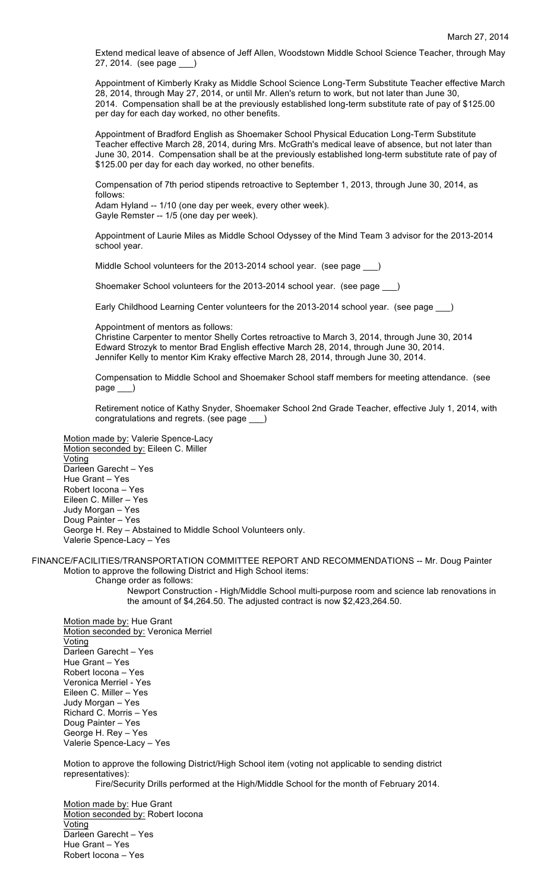Extend medical leave of absence of Jeff Allen, Woodstown Middle School Science Teacher, through May 27, 2014. (see page \_\_\_)

Appointment of Kimberly Kraky as Middle School Science Long-Term Substitute Teacher effective March 28, 2014, through May 27, 2014, or until Mr. Allen's return to work, but not later than June 30, 2014. Compensation shall be at the previously established long-term substitute rate of pay of \$125.00 per day for each day worked, no other benefits.

Appointment of Bradford English as Shoemaker School Physical Education Long-Term Substitute Teacher effective March 28, 2014, during Mrs. McGrath's medical leave of absence, but not later than June 30, 2014. Compensation shall be at the previously established long-term substitute rate of pay of \$125.00 per day for each day worked, no other benefits.

Compensation of 7th period stipends retroactive to September 1, 2013, through June 30, 2014, as follows:

Adam Hyland -- 1/10 (one day per week, every other week). Gayle Remster -- 1/5 (one day per week).

Appointment of Laurie Miles as Middle School Odyssey of the Mind Team 3 advisor for the 2013-2014 school year.

Middle School volunteers for the 2013-2014 school year. (see page )

Shoemaker School volunteers for the 2013-2014 school year. (see page \_\_\_)

Early Childhood Learning Center volunteers for the 2013-2014 school year. (see page \_\_\_)

Appointment of mentors as follows:

Christine Carpenter to mentor Shelly Cortes retroactive to March 3, 2014, through June 30, 2014 Edward Strozyk to mentor Brad English effective March 28, 2014, through June 30, 2014. Jennifer Kelly to mentor Kim Kraky effective March 28, 2014, through June 30, 2014.

Compensation to Middle School and Shoemaker School staff members for meeting attendance. (see page

Retirement notice of Kathy Snyder, Shoemaker School 2nd Grade Teacher, effective July 1, 2014, with congratulations and regrets. (see page \_\_\_)

Motion made by: Valerie Spence-Lacy Motion seconded by: Eileen C. Miller **Voting** Darleen Garecht – Yes Hue Grant – Yes Robert Iocona – Yes Eileen C. Miller – Yes Judy Morgan – Yes Doug Painter – Yes George H. Rey – Abstained to Middle School Volunteers only. Valerie Spence-Lacy – Yes

FINANCE/FACILITIES/TRANSPORTATION COMMITTEE REPORT AND RECOMMENDATIONS -- Mr. Doug Painter Motion to approve the following District and High School items:

Change order as follows:

Newport Construction - High/Middle School multi-purpose room and science lab renovations in the amount of \$4,264.50. The adjusted contract is now \$2,423,264.50.

Motion made by: Hue Grant Motion seconded by: Veronica Merriel **Voting** Darleen Garecht – Yes Hue Grant – Yes Robert Iocona – Yes Veronica Merriel - Yes Eileen C. Miller – Yes Judy Morgan – Yes Richard C. Morris – Yes Doug Painter – Yes George H. Rey – Yes Valerie Spence-Lacy – Yes

Motion to approve the following District/High School item (voting not applicable to sending district representatives):

Fire/Security Drills performed at the High/Middle School for the month of February 2014.

Motion made by: Hue Grant Motion seconded by: Robert locona Voting Darleen Garecht – Yes Hue Grant – Yes Robert Iocona – Yes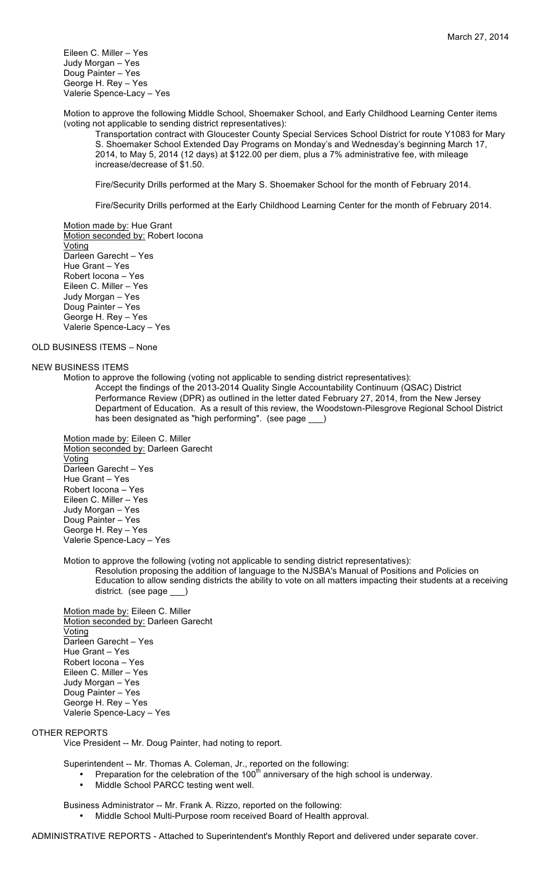Eileen C. Miller – Yes Judy Morgan – Yes Doug Painter – Yes George H. Rey – Yes Valerie Spence-Lacy – Yes

Motion to approve the following Middle School, Shoemaker School, and Early Childhood Learning Center items (voting not applicable to sending district representatives):

Transportation contract with Gloucester County Special Services School District for route Y1083 for Mary S. Shoemaker School Extended Day Programs on Monday's and Wednesday's beginning March 17, 2014, to May 5, 2014 (12 days) at \$122.00 per diem, plus a 7% administrative fee, with mileage increase/decrease of \$1.50.

Fire/Security Drills performed at the Mary S. Shoemaker School for the month of February 2014.

Fire/Security Drills performed at the Early Childhood Learning Center for the month of February 2014.

Motion made by: Hue Grant Motion seconded by: Robert locona **Voting** Darleen Garecht – Yes Hue Grant – Yes Robert Iocona – Yes Eileen C. Miller – Yes Judy Morgan – Yes Doug Painter – Yes George H. Rey – Yes Valerie Spence-Lacy – Yes

## OLD BUSINESS ITEMS – None

# NEW BUSINESS ITEMS

Motion to approve the following (voting not applicable to sending district representatives): Accept the findings of the 2013-2014 Quality Single Accountability Continuum (QSAC) District Performance Review (DPR) as outlined in the letter dated February 27, 2014, from the New Jersey Department of Education. As a result of this review, the Woodstown-Pilesgrove Regional School District has been designated as "high performing". (see page )

Motion made by: Eileen C. Miller Motion seconded by: Darleen Garecht Voting Darleen Garecht – Yes Hue Grant – Yes Robert Iocona – Yes Eileen C. Miller – Yes Judy Morgan – Yes Doug Painter – Yes George H. Rey – Yes Valerie Spence-Lacy – Yes

Motion to approve the following (voting not applicable to sending district representatives):

Resolution proposing the addition of language to the NJSBA's Manual of Positions and Policies on Education to allow sending districts the ability to vote on all matters impacting their students at a receiving district. (see page \_

Motion made by: Eileen C. Miller Motion seconded by: Darleen Garecht Voting Darleen Garecht – Yes Hue Grant – Yes Robert Iocona – Yes Eileen C. Miller – Yes Judy Morgan – Yes Doug Painter – Yes George H. Rey – Yes Valerie Spence-Lacy – Yes

# OTHER REPORTS

Vice President -- Mr. Doug Painter, had noting to report.

Superintendent -- Mr. Thomas A. Coleman, Jr., reported on the following:

- Preparation for the celebration of the 100<sup>th</sup> anniversary of the high school is underway.<br>• Middle School PARCC testing went well
- Middle School PARCC testing went well.

Business Administrator -- Mr. Frank A. Rizzo, reported on the following:

• Middle School Multi-Purpose room received Board of Health approval.

ADMINISTRATIVE REPORTS - Attached to Superintendent's Monthly Report and delivered under separate cover.